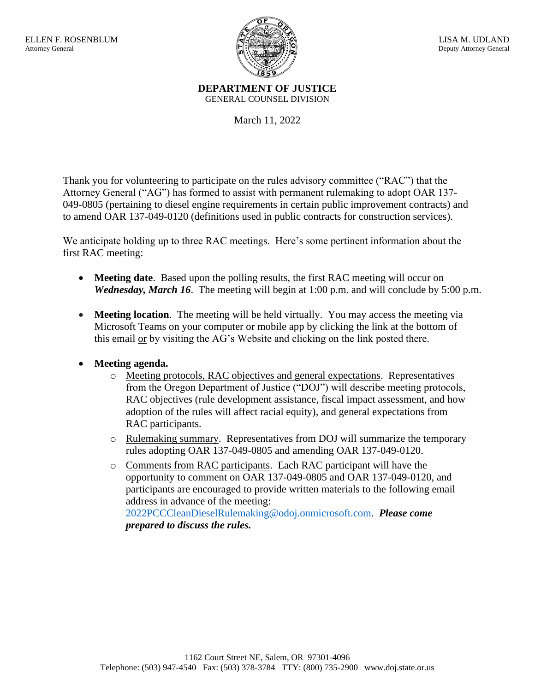

**DEPARTMENT OF JUSTICE** GENERAL COUNSEL DIVISION

March 11, 2022

Thank you for volunteering to participate on the rules advisory committee ("RAC") that the Attorney General ("AG") has formed to assist with permanent rulemaking to adopt OAR 137- 049-0805 (pertaining to diesel engine requirements in certain public improvement contracts) and to amend OAR 137-049-0120 (definitions used in public contracts for construction services).

We anticipate holding up to three RAC meetings. Here's some pertinent information about the first RAC meeting:

- **Meeting date**. Based upon the polling results, the first RAC meeting will occur on *Wednesday, March 16.* The meeting will begin at 1:00 p.m. and will conclude by 5:00 p.m.
- **Meeting location**. The meeting will be held virtually. You may access the meeting via Microsoft Teams on your computer or mobile app by clicking the link at the bottom of this email or by visiting the AG's Website and clicking on the link posted there.
- **Meeting agenda.**
	- o Meeting protocols, RAC objectives and general expectations. Representatives from the Oregon Department of Justice ("DOJ") will describe meeting protocols, RAC objectives (rule development assistance, fiscal impact assessment, and how adoption of the rules will affect racial equity), and general expectations from RAC participants.
	- o Rulemaking summary. Representatives from DOJ will summarize the temporary rules adopting OAR 137-049-0805 and amending OAR 137-049-0120.
	- o Comments from RAC participants. Each RAC participant will have the opportunity to comment on OAR 137-049-0805 and OAR 137-049-0120, and participants are encouraged to provide written materials to the following email address in advance of the meeting: [2022PCCCleanDieselRulemaking@odoj.onmicrosoft.com.](mailto:2022PCCCleanDieselRulemaking@odoj.onmicrosoft.com) *Please come prepared to discuss the rules.*